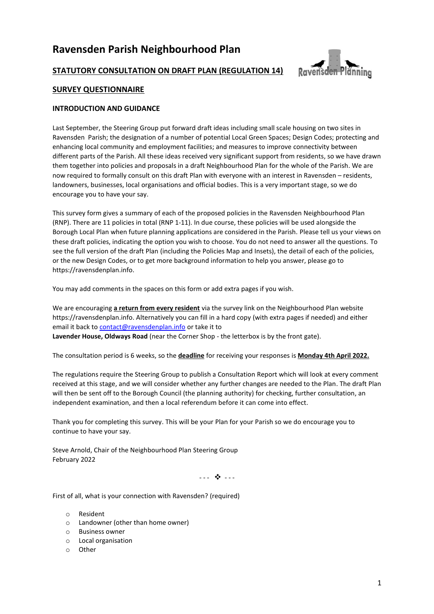# **Ravensden Parish Neighbourhood Plan**



# **STATUTORY CONSULTATION ON DRAFT PLAN (REGULATION 14)**

# **SURVEY QUESTIONNAIRE**

## **INTRODUCTION AND GUIDANCE**

Last September, the Steering Group put forward draft ideas including small scale housing on two sites in Ravensden Parish; the designation of a number of potential Local Green Spaces; Design Codes; protecting and enhancing local community and employment facilities; and measures to improve connectivity between different parts of the Parish. All these ideas received very significant support from residents, so we have drawn them together into policies and proposals in a draft Neighbourhood Plan for the whole of the Parish. We are now required to formally consult on this draft Plan with everyone with an interest in Ravensden – residents, landowners, businesses, local organisations and official bodies. This is a very important stage, so we do encourage you to have your say.

This survey form gives a summary of each of the proposed policies in the Ravensden Neighbourhood Plan (RNP). There are 11 policies in total (RNP 1-11). In due course, these policies will be used alongside the Borough Local Plan when future planning applications are considered in the Parish. Please tell us your views on these draft policies, indicating the option you wish to choose. You do not need to answer all the questions. To see the full version of the draft Plan (including the Policies Map and Insets), the detail of each of the policies, or the new Design Codes, or to get more background information to help you answer, please go to https://ravensdenplan.info.

You may add comments in the spaces on this form or add extra pages if you wish.

We are encouraging **a return from every resident** via the survey link on the Neighbourhood Plan website https://ravensdenplan.info. Alternatively you can fill in a hard copy (with extra pages if needed) and either email it back t[o contact@ravensdenplan.info](mailto:contact@ravensdenplan.info) or take it to

**Lavender House, Oldways Road** (near the Corner Shop - the letterbox is by the front gate).

The consultation period is 6 weeks, so the **deadline** for receiving your responses is **Monday 4th April 2022.**

The regulations require the Steering Group to publish a Consultation Report which will look at every comment received at this stage, and we will consider whether any further changes are needed to the Plan. The draft Plan will then be sent off to the Borough Council (the planning authority) for checking, further consultation, an independent examination, and then a local referendum before it can come into effect.

Thank you for completing this survey. This will be your Plan for your Parish so we do encourage you to continue to have your say.

Steve Arnold, Chair of the Neighbourhood Plan Steering Group February 2022

- - - \* - - -

First of all, what is your connection with Ravensden? (required)

- o Resident
- o Landowner (other than home owner)
- o Business owner
- o Local organisation
- o Other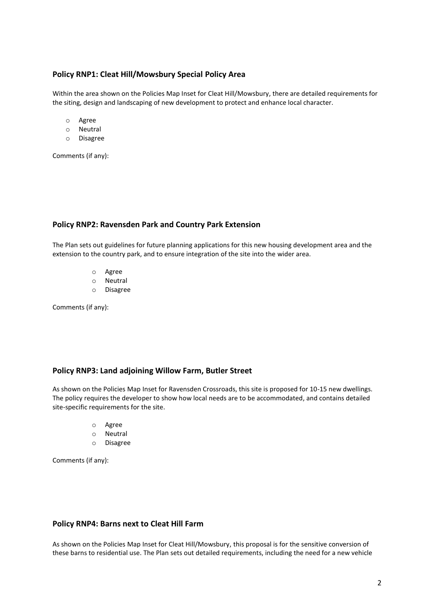# **Policy RNP1: Cleat Hill/Mowsbury Special Policy Area**

Within the area shown on the Policies Map Inset for Cleat Hill/Mowsbury, there are detailed requirements for the siting, design and landscaping of new development to protect and enhance local character.

- o Agree
- o Neutral
- o Disagree

Comments (if any):

#### **Policy RNP2: Ravensden Park and Country Park Extension**

The Plan sets out guidelines for future planning applications for this new housing development area and the extension to the country park, and to ensure integration of the site into the wider area.

- o Agree
- o Neutral
- o Disagree

Comments (if any):

# **Policy RNP3: Land adjoining Willow Farm, Butler Street**

As shown on the Policies Map Inset for Ravensden Crossroads, this site is proposed for 10-15 new dwellings. The policy requires the developer to show how local needs are to be accommodated, and contains detailed site-specific requirements for the site.

- o Agree
- o Neutral
- o Disagree

Comments (if any):

#### **Policy RNP4: Barns next to Cleat Hill Farm**

As shown on the Policies Map Inset for Cleat Hill/Mowsbury, this proposal is for the sensitive conversion of these barns to residential use. The Plan sets out detailed requirements, including the need for a new vehicle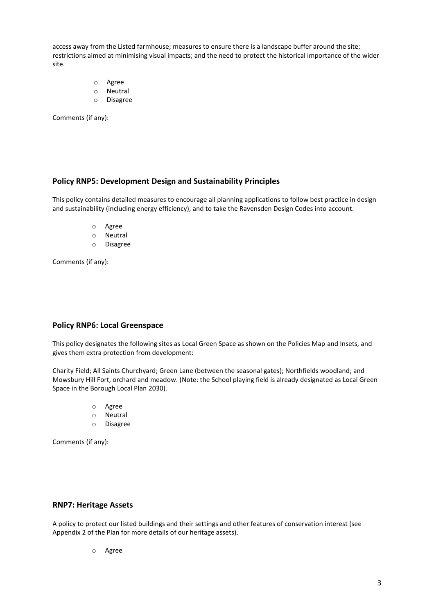access away from the Listed farmhouse; measures to ensure there is a landscape buffer around the site; restrictions aimed at minimising visual impacts; and the need to protect the historical importance of the wider site.

- o Agree
- o Neutral
- o Disagree

Comments (if any):

# **Policy RNP5: Development Design and Sustainability Principles**

This policy contains detailed measures to encourage all planning applications to follow best practice in design and sustainability (including energy efficiency), and to take the Ravensden Design Codes into account.

- o Agree
- o Neutral
- o Disagree

Comments (if any):

## **Policy RNP6: Local Greenspace**

This policy designates the following sites as Local Green Space as shown on the Policies Map and Insets, and gives them extra protection from development:

Charity Field; All Saints Churchyard; Green Lane (between the seasonal gates); Northfields woodland; and Mowsbury Hill Fort, orchard and meadow. (Note: the School playing field is already designated as Local Green Space in the Borough Local Plan 2030).

- o Agree
- o Neutral
- o Disagree

Comments (if any):

#### **RNP7: Heritage Assets**

A policy to protect our listed buildings and their settings and other features of conservation interest (see Appendix 2 of the Plan for more details of our heritage assets).

o Agree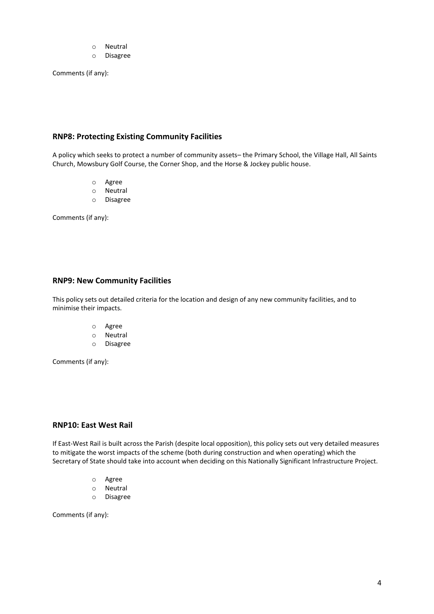- o Neutral
- o Disagree

Comments (if any):

## **RNP8: Protecting Existing Community Facilities**

A policy which seeks to protect a number of community assets– the Primary School, the Village Hall, All Saints Church, Mowsbury Golf Course, the Corner Shop, and the Horse & Jockey public house.

- o Agree
- o Neutral
- o Disagree

Comments (if any):

## **RNP9: New Community Facilities**

This policy sets out detailed criteria for the location and design of any new community facilities, and to minimise their impacts.

- o Agree
- o Neutral
- o Disagree

Comments (if any):

# **RNP10: East West Rail**

If East-West Rail is built across the Parish (despite local opposition), this policy sets out very detailed measures to mitigate the worst impacts of the scheme (both during construction and when operating) which the Secretary of State should take into account when deciding on this Nationally Significant Infrastructure Project.

- o Agree
- o Neutral
- o Disagree

Comments (if any):